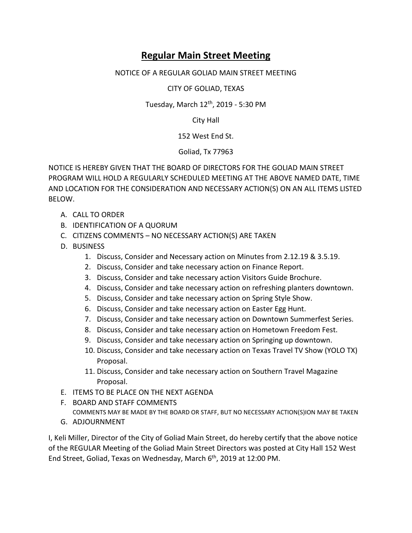## **Regular Main Street Meeting**

## NOTICE OF A REGULAR GOLIAD MAIN STREET MEETING

CITY OF GOLIAD, TEXAS

Tuesday, March 12th, 2019 - 5:30 PM

City Hall

152 West End St.

Goliad, Tx 77963

NOTICE IS HEREBY GIVEN THAT THE BOARD OF DIRECTORS FOR THE GOLIAD MAIN STREET PROGRAM WILL HOLD A REGULARLY SCHEDULED MEETING AT THE ABOVE NAMED DATE, TIME AND LOCATION FOR THE CONSIDERATION AND NECESSARY ACTION(S) ON AN ALL ITEMS LISTED BELOW.

- A. CALL TO ORDER
- B. IDENTIFICATION OF A QUORUM
- C. CITIZENS COMMENTS NO NECESSARY ACTION(S) ARE TAKEN
- D. BUSINESS
	- 1. Discuss, Consider and Necessary action on Minutes from 2.12.19 & 3.5.19.
	- 2. Discuss, Consider and take necessary action on Finance Report.
	- 3. Discuss, Consider and take necessary action Visitors Guide Brochure.
	- 4. Discuss, Consider and take necessary action on refreshing planters downtown.
	- 5. Discuss, Consider and take necessary action on Spring Style Show.
	- 6. Discuss, Consider and take necessary action on Easter Egg Hunt.
	- 7. Discuss, Consider and take necessary action on Downtown Summerfest Series.
	- 8. Discuss, Consider and take necessary action on Hometown Freedom Fest.
	- 9. Discuss, Consider and take necessary action on Springing up downtown.
	- 10. Discuss, Consider and take necessary action on Texas Travel TV Show (YOLO TX) Proposal.
	- 11. Discuss, Consider and take necessary action on Southern Travel Magazine Proposal.
- E. ITEMS TO BE PLACE ON THE NEXT AGENDA
- F. BOARD AND STAFF COMMENTS COMMENTS MAY BE MADE BY THE BOARD OR STAFF, BUT NO NECESSARY ACTION(S)ION MAY BE TAKEN
- G. ADJOURNMENT

I, Keli Miller, Director of the City of Goliad Main Street, do hereby certify that the above notice of the REGULAR Meeting of the Goliad Main Street Directors was posted at City Hall 152 West End Street, Goliad, Texas on Wednesday, March 6<sup>th</sup>, 2019 at 12:00 PM.